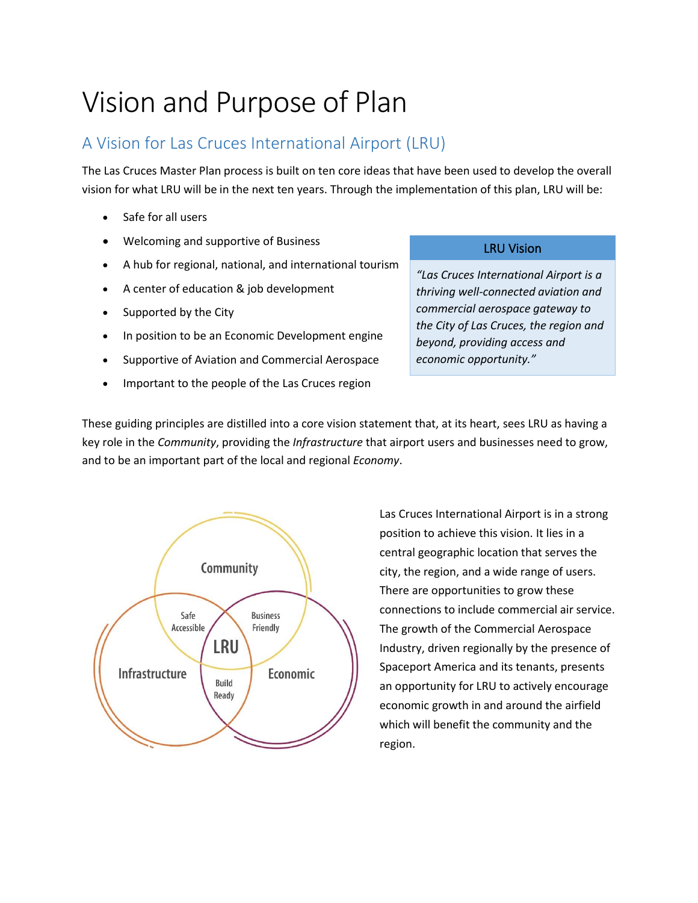# Vision and Purpose of Plan

## A Vision for Las Cruces International Airport (LRU)

The Las Cruces Master Plan process is built on ten core ideas that have been used to develop the overall vision for what LRU will be in the next ten years. Through the implementation of this plan, LRU will be:

- Safe for all users
- Welcoming and supportive of Business
- A hub for regional, national, and international tourism
- A center of education & job development
- Supported by the City
- In position to be an Economic Development engine
- Supportive of Aviation and Commercial Aerospace
- Important to the people of the Las Cruces region

#### LRU Vision

*"Las Cruces International Airport is a thriving well-connected aviation and commercial aerospace gateway to the City of Las Cruces, the region and beyond, providing access and economic opportunity."*

These guiding principles are distilled into a core vision statement that, at its heart, sees LRU as having a key role in the *Community*, providing the *Infrastructure* that airport users and businesses need to grow, and to be an important part of the local and regional *Economy*.



Las Cruces International Airport is in a strong position to achieve this vision. It lies in a central geographic location that serves the city, the region, and a wide range of users. There are opportunities to grow these connections to include commercial air service. The growth of the Commercial Aerospace Industry, driven regionally by the presence of Spaceport America and its tenants, presents an opportunity for LRU to actively encourage economic growth in and around the airfield which will benefit the community and the region.